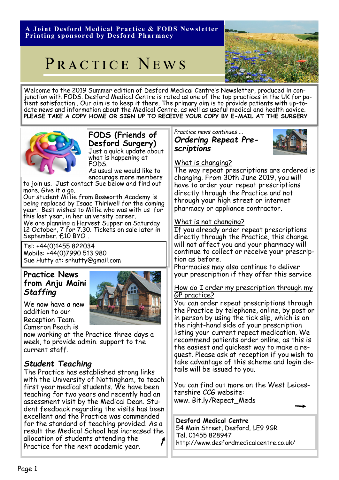**A Joint Desford Medical Practice & FODS Newsletter Printing sponsored by Desford Pharmacy**

# PRACTICE NEWS

Welcome to the 2019 Summer edition of Desford Medical Centre's Newsletter, produced in conjunction with FODS. Desford Medical Centre is rated as one of the top practices in the UK for patient satisfaction . Our aim is to keep it there. The primary aim is to provide patients with up-todate news and information about the Medical Centre, as well as useful medical and health advice. **PLEASE TAKE A COPY HOME OR SIGN UP TO RECEIVE YOUR COPY BY E-MAIL AT THE SURGERY**



**FODS (Friends of Desford Surgery)** Just a quick update about

what is happening at FODS.

As usual we would like to encourage more members

to join us. Just contact Sue below and find out more. Give it a go.

Our student Millie from Bosworth Academy is being replaced by Isaac Thirlwell for the coming year. Best wishes to Millie who was with us for this last year, in her university career.

We are planning a Harvest Supper on Saturday 12 October, 7 for 7.30. Tickets on sale later in September. £10 BYO .

Tel: +44(0)1455 822034 Mobile: +44(0)7990 513 980 Sue Hutty at: srhutty@gmail.com

## **Practice News from Anju Maini** *Staffing*

We now have a new addition to our Reception Team. Cameron Peach is



now working at the Practice three days a week, to provide admin. support to the current staff.

# *Student Teaching*

The Practice has established strong links with the University of Nottingham, to teach first year medical students. We have been teaching for two years and recently had an assessment visit by the Medical Dean. Student feedback regarding the visits has been excellent and the Practice was commended for the standard of teaching provided. As a result the Medical School has increased the allocation of students attending the Practice for the next academic year.

## *Practice news continues ... Ordering Repeat Prescriptions*



## What is changing?

The way repeat prescriptions are ordered is changing. From 30th June 2019, you will have to order your repeat prescriptions directly through the Practice and not through your high street or internet pharmacy or appliance contractor.

### What is not changing?

If you already order repeat prescriptions directly through the Practice, this change will not affect you and your pharmacy will continue to collect or receive your prescription as before.

Pharmacies may also continue to deliver your prescription if they offer this service

#### How do I order my prescription through my GP practice?

You can order repeat prescriptions through the Practice by telephone, online, by post or in person by using the tick slip, which is on the right-hand side of your prescription listing your current repeat medication. We recommend patients order online, as this is the easiest and quickest way to make a request. Please ask at reception if you wish to take advantage of this scheme and login details will be issued to you.

You can find out more on the West Leicestershire CCG website: www. Bit.ly/Repeat\_Meds

**Desford Medical Centre** 54 Main Street, Desford, LE9 9GR Tel. 01455 828947 http://www.desfordmedicalcentre.co.uk/